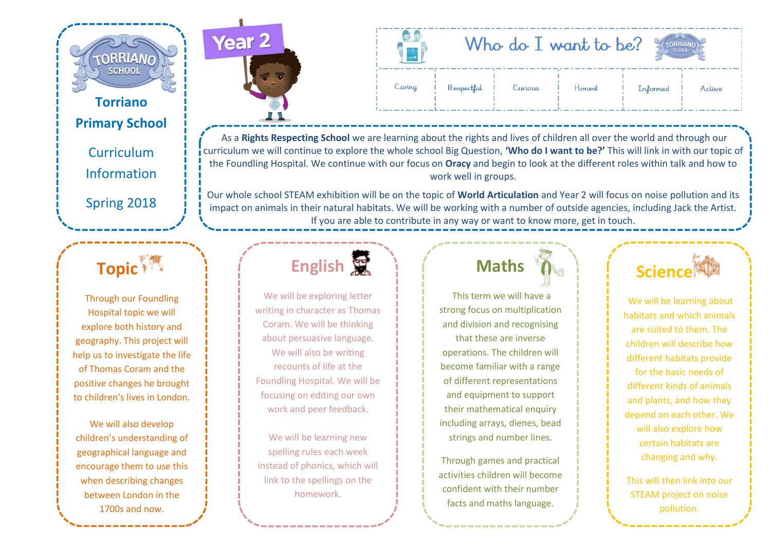

#### **Torriano Primary School**

Curriculum Information Spring 2018

### **Topic**<sup>1</sup>

Through our Foundling Hospital topic we will explore both history and geography. This project will help us to investigate the life of Thomas Coram and the positive changes he brought to children's lives in London.

We will also develop children's understanding of geographical language and encourage them to use this when describing changes between London in the 1700s and now.



| $\equiv$ |            |         | Who do $I$ want to be? | <b>SCHOOL</b> |        |
|----------|------------|---------|------------------------|---------------|--------|
| Caring   | Respectful | Curious | Honest                 | Informed      | Active |

As a **Rights Respecting School** we are learning about the rights and lives of children all over the world and through our curriculum we will continue to explore the whole school Big Question, **'Who do I want to be?'** This will link in with our topic of the Foundling Hospital. We continue with our focus on **Oracy** and begin to look at the different roles within talk and how to work well in groups.

Our whole school STEAM exhibition will be on the topic of **World Articulation** and Year 2 will focus on noise pollution and its impact on animals in their natural habitats. We will be working with a number of outside agencies, including Jack the Artist. If you are able to contribute in any way or want to know more, get in touch.

## **English**<br>
<sub>
</sub>

We will be exploring letter writing in character as Thomas Coram. We will be thinking about persuasive language. We will also be writing recounts of life at the Foundling Hospital. We will be focusing on editing our own work and peer feedback.

We will be learning new spelling rules each week instead of phonics, which will link to the spellings on the homework.

## **Maths**

This term we will have a strong focus on multiplication and division and recognising that these are inverse operations. The children will become familiar with a range of different representations and equipment to support their mathematical enquiry including arrays, dienes, bead strings and number lines.

Through games and practical activities children will become confident with their number facts and maths language.



We will be learning about habitats and which animals are suited to them. The children will describe how different habitats provide for the basic needs of different kinds of animals and plants, and how they depend on each other. We will also explore how certain habitats are changing and why.

This will then link into our STEAM project on noise pollution.